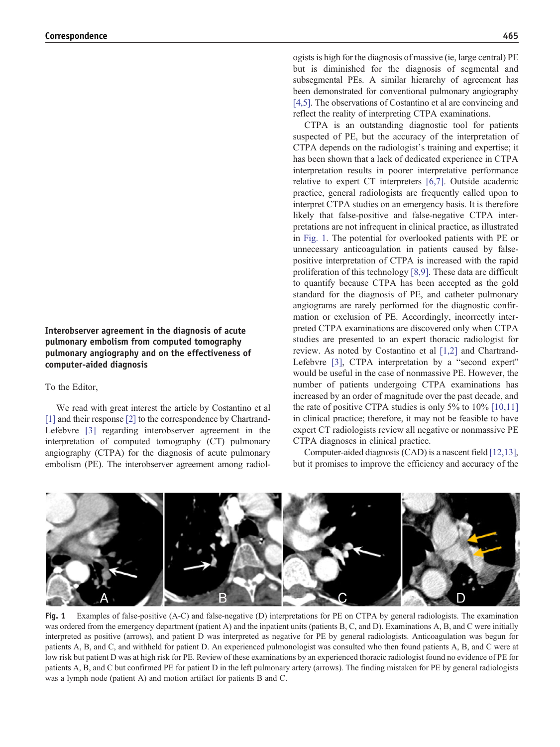## Interobserver agreement in the diagnosis of acute pulmonary embolism from computed tomography pulmonary angiography and on the effectiveness of computer-aided diagnosis

## To the Editor,

We read with great interest the article by Costantino et al [1] and their response [2] to the correspondence by Chartrand-Lefebvre [3] regarding interobserver agreement in the interpretation of computed tomography (CT) pulmonary angiography (CTPA) for the diagnosis of acute pulmonary embolism (PE). The interobserver agreement among radiologists is high for the diagnosis of massive (ie, large central) PE but is diminished for the diagnosis of segmental and subsegmental PEs. A similar hierarchy of agreement has been demonstrated for conventional pulmonary angiography [4,5]. The observations of Costantino et al are convincing and reflect the reality of interpreting CTPA examinations.

CTPA is an outstanding diagnostic tool for patients suspected of PE, but the accuracy of the interpretation of CTPA depends on the radiologist's training and expertise; it has been shown that a lack of dedicated experience in CTPA interpretation results in poorer interpretative performance relative to expert CT interpreters [6,7]. Outside academic practice, general radiologists are frequently called upon to interpret CTPA studies on an emergency basis. It is therefore likely that false-positive and false-negative CTPA interpretations are not infrequent in clinical practice, as illustrated in Fig. 1. The potential for overlooked patients with PE or unnecessary anticoagulation in patients caused by falsepositive interpretation of CTPA is increased with the rapid proliferation of this technology [8,9]. These data are difficult to quantify because CTPA has been accepted as the gold standard for the diagnosis of PE, and catheter pulmonary angiograms are rarely performed for the diagnostic confirmation or exclusion of PE. Accordingly, incorrectly interpreted CTPA examinations are discovered only when CTPA studies are presented to an expert thoracic radiologist for review. As noted by Costantino et al [1,2] and Chartrand-Lefebvre [3], CTPA interpretation by a "second expert" would be useful in the case of nonmassive PE. However, the number of patients undergoing CTPA examinations has increased by an order of magnitude over the past decade, and the rate of positive CTPA studies is only 5% to 10% [10,11] in clinical practice; therefore, it may not be feasible to have expert CT radiologists review all negative or nonmassive PE CTPA diagnoses in clinical practice.

Computer-aided diagnosis (CAD) is a nascent field [12,13], but it promises to improve the efficiency and accuracy of the



Fig. 1 Examples of false-positive (A-C) and false-negative (D) interpretations for PE on CTPA by general radiologists. The examination was ordered from the emergency department (patient A) and the inpatient units (patients B, C, and D). Examinations A, B, and C were initially interpreted as positive (arrows), and patient D was interpreted as negative for PE by general radiologists. Anticoagulation was begun for patients A, B, and C, and withheld for patient D. An experienced pulmonologist was consulted who then found patients A, B, and C were at low risk but patient D was at high risk for PE. Review of these examinations by an experienced thoracic radiologist found no evidence of PE for patients A, B, and C but confirmed PE for patient D in the left pulmonary artery (arrows). The finding mistaken for PE by general radiologists was a lymph node (patient A) and motion artifact for patients B and C.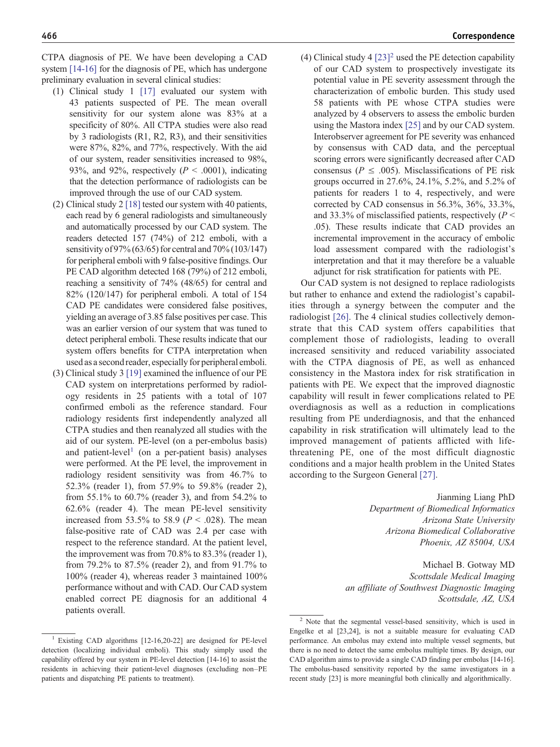CTPA diagnosis of PE. We have been developing a CAD system [14-16] for the diagnosis of PE, which has undergone preliminary evaluation in several clinical studies:

- (1) Clinical study 1 [17] evaluated our system with 43 patients suspected of PE. The mean overall sensitivity for our system alone was 83% at a specificity of 80%. All CTPA studies were also read by 3 radiologists (R1, R2, R3), and their sensitivities were 87%, 82%, and 77%, respectively. With the aid of our system, reader sensitivities increased to 98%, 93%, and 92%, respectively ( $P < .0001$ ), indicating that the detection performance of radiologists can be improved through the use of our CAD system.
- (2) Clinical study 2 [18] tested our system with 40 patients, each read by 6 general radiologists and simultaneously and automatically processed by our CAD system. The readers detected 157 (74%) of 212 emboli, with a sensitivity of 97% (63/65) for central and 70% (103/147) for peripheral emboli with 9 false-positive findings. Our PE CAD algorithm detected 168 (79%) of 212 emboli, reaching a sensitivity of 74% (48/65) for central and 82% (120/147) for peripheral emboli. A total of 154 CAD PE candidates were considered false positives, yielding an average of 3.85 false positives per case. This was an earlier version of our system that was tuned to detect peripheral emboli. These results indicate that our system offers benefits for CTPA interpretation when used as a second reader, especially for peripheral emboli.
- (3) Clinical study 3 [19] examined the influence of our PE CAD system on interpretations performed by radiology residents in 25 patients with a total of 107 confirmed emboli as the reference standard. Four radiology residents first independently analyzed all CTPA studies and then reanalyzed all studies with the aid of our system. PE-level (on a per-embolus basis) and patient-level<sup>1</sup> (on a per-patient basis) analyses were performed. At the PE level, the improvement in radiology resident sensitivity was from 46.7% to 52.3% (reader 1), from 57.9% to 59.8% (reader 2), from 55.1% to 60.7% (reader 3), and from 54.2% to 62.6% (reader 4). The mean PE-level sensitivity increased from 53.5% to 58.9 ( $P < .028$ ). The mean false-positive rate of CAD was 2.4 per case with respect to the reference standard. At the patient level, the improvement was from 70.8% to 83.3% (reader 1), from 79.2% to 87.5% (reader 2), and from 91.7% to 100% (reader 4), whereas reader 3 maintained 100% performance without and with CAD. Our CAD system enabled correct PE diagnosis for an additional 4 patients overall.
- <sup>1</sup> Existing CAD algorithms  $[12-16,20-22]$  are designed for PE-level detection (localizing individual emboli). This study simply used the capability offered by our system in PE-level detection [14-16] to assist the residents in achieving their patient-level diagnoses (excluding non–PE patients and dispatching PE patients to treatment).

(4) Clinical study 4  $[23]^2$  used the PE detection capability of our CAD system to prospectively investigate its potential value in PE severity assessment through the characterization of embolic burden. This study used 58 patients with PE whose CTPA studies were analyzed by 4 observers to assess the embolic burden using the Mastora index [25] and by our CAD system. Interobserver agreement for PE severity was enhanced by consensus with CAD data, and the perceptual scoring errors were significantly decreased after CAD consensus ( $P \leq .005$ ). Misclassifications of PE risk groups occurred in 27.6%, 24.1%, 5.2%, and 5.2% of patients for readers 1 to 4, respectively, and were corrected by CAD consensus in 56.3%, 36%, 33.3%, and 33.3% of misclassified patients, respectively ( $P \le$ .05). These results indicate that CAD provides an incremental improvement in the accuracy of embolic load assessment compared with the radiologist's interpretation and that it may therefore be a valuable adjunct for risk stratification for patients with PE.

Our CAD system is not designed to replace radiologists but rather to enhance and extend the radiologist's capabilities through a synergy between the computer and the radiologist [26]. The 4 clinical studies collectively demonstrate that this CAD system offers capabilities that complement those of radiologists, leading to overall increased sensitivity and reduced variability associated with the CTPA diagnosis of PE, as well as enhanced consistency in the Mastora index for risk stratification in patients with PE. We expect that the improved diagnostic capability will result in fewer complications related to PE overdiagnosis as well as a reduction in complications resulting from PE underdiagnosis, and that the enhanced capability in risk stratification will ultimately lead to the improved management of patients afflicted with lifethreatening PE, one of the most difficult diagnostic conditions and a major health problem in the United States according to the Surgeon General [27].

> Jianming Liang PhD Department of Biomedical Informatics Arizona State University Arizona Biomedical Collaborative Phoenix, AZ 85004, USA

Michael B. Gotway MD Scottsdale Medical Imaging an affiliate of Southwest Diagnostic Imaging Scottsdale, AZ, USA

<sup>2</sup> Note that the segmental vessel-based sensitivity, which is used in Engelke et al [23,24], is not a suitable measure for evaluating CAD performance. An embolus may extend into multiple vessel segments, but there is no need to detect the same embolus multiple times. By design, our CAD algorithm aims to provide a single CAD finding per embolus [14-16]. The embolus-based sensitivity reported by the same investigators in a recent study [23] is more meaningful both clinically and algorithmically.